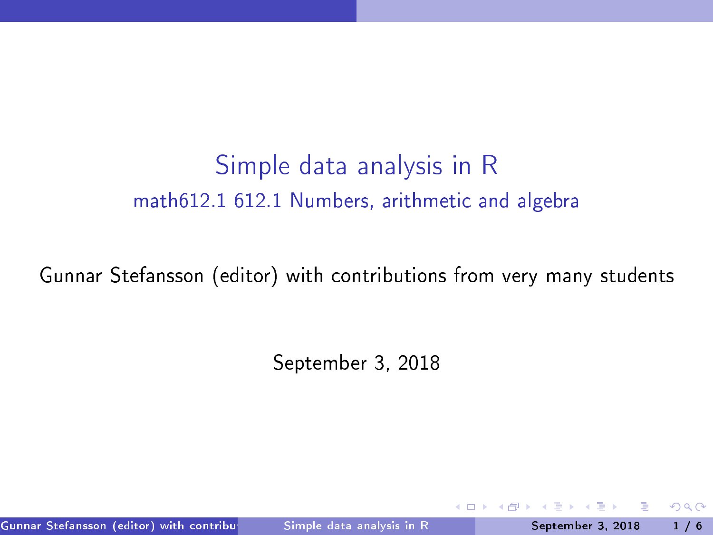# Simple data analysis in <sup>R</sup> math612.1 612.1 Numbers, arithmeti and algebra

Gunnar Stefansson (editor) with contributions from very many students

<span id="page-0-0"></span>September 3, 2018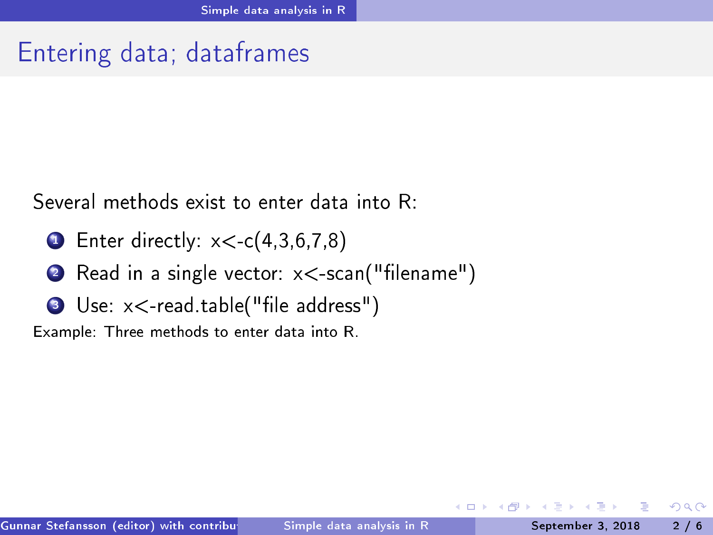## Entering data; dataframes

Several methods exist to enter data into R:

- $\bullet$  Enter directly:  $x \leq c$ ( $\tau$ , $\circ$ , $\circ$ , $\tau$ , $\circ$ )
- $\bullet$  read in a single vector:  $\lambda \leq$  searly memanic  $\mu$
- <span id="page-1-0"></span> $\sim$  Use:  $\lambda$  (cad.table("life address")

Example: Three methods to enter data into R.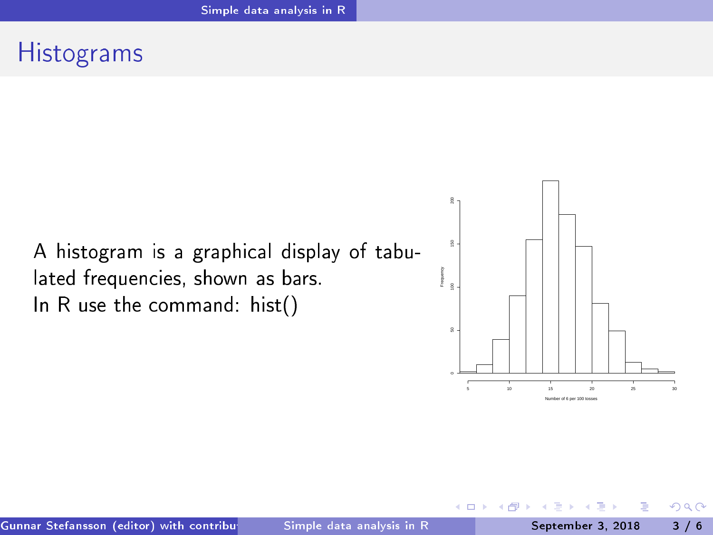#### **Histograms**

A histogram is a graphical display of tabulated frequencies, shown as bars. In R use the command: hist()



<span id="page-2-0"></span>4 D F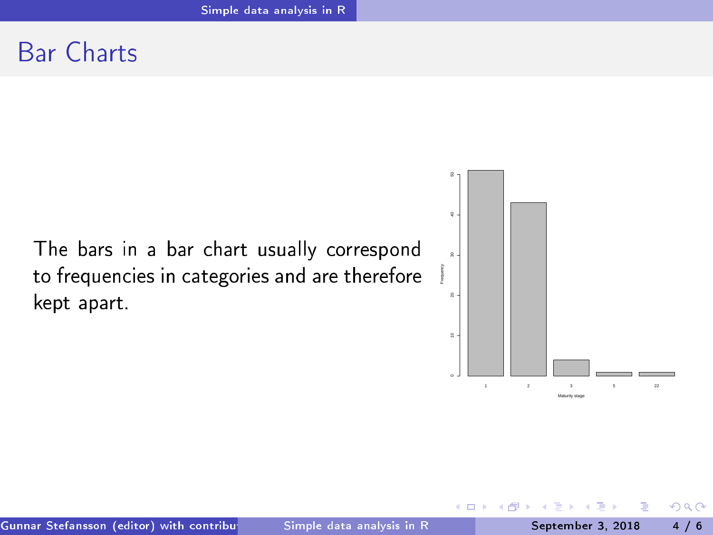#### **Bar Charts**

The bars in a bar chart usually correspond to frequencies in categories and are therefore kept apart.



<span id="page-3-0"></span>4 D F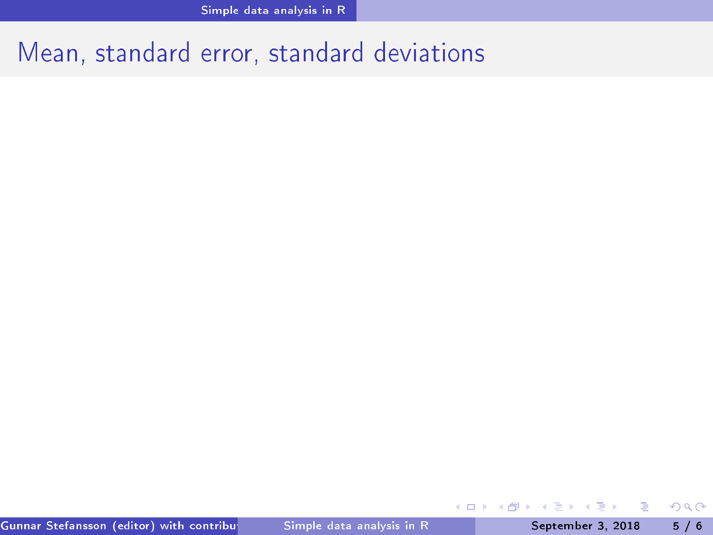### Mean, standard error, standard deviations

不自下

∢●

э

÷

<span id="page-4-0"></span> $298$